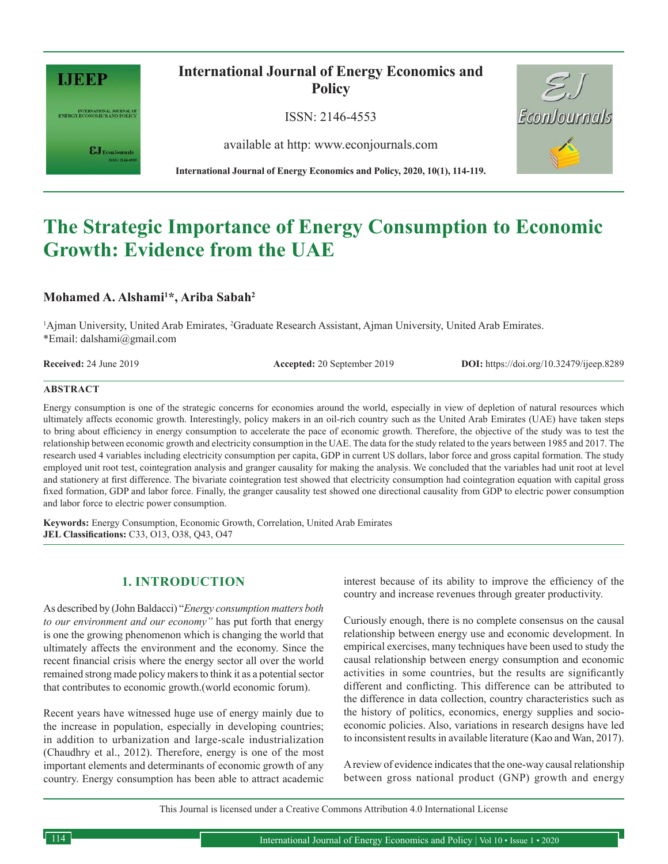

INTERNATIONAL JOURNAL OF<br>ENERGY ECONOMICS AND POLICY

 $\epsilon$ J Econ Journals

# **International Journal of Energy Economics and Policy**

ISSN: 2146-4553

available at http: www.econjournals.com



**International Journal of Energy Economics and Policy, 2020, 10(1), 114-119.**

# **The Strategic Importance of Energy Consumption to Economic Growth: Evidence from the UAE**

### **Mohamed A. Alshami<sup>1</sup>\*, Ariba Sabah<sup>2</sup>**

<sup>1</sup>Ajman University, United Arab Emirates, <sup>2</sup>Graduate Research Assistant, Ajman University, United Arab Emirates. \*Email: dalshami@gmail.com

**Received:** 24 June 2019 **Accepted:** 20 September 2019 **DOI:** https://doi.org/10.32479/ijeep.8289

#### **ABSTRACT**

Energy consumption is one of the strategic concerns for economies around the world, especially in view of depletion of natural resources which ultimately affects economic growth. Interestingly, policy makers in an oil-rich country such as the United Arab Emirates (UAE) have taken steps to bring about efficiency in energy consumption to accelerate the pace of economic growth. Therefore, the objective of the study was to test the relationship between economic growth and electricity consumption in the UAE. The data for the study related to the years between 1985 and 2017. The research used 4 variables including electricity consumption per capita, GDP in current US dollars, labor force and gross capital formation. The study employed unit root test, cointegration analysis and granger causality for making the analysis. We concluded that the variables had unit root at level and stationery at first difference. The bivariate cointegration test showed that electricity consumption had cointegration equation with capital gross fixed formation, GDP and labor force. Finally, the granger causality test showed one directional causality from GDP to electric power consumption and labor force to electric power consumption.

**Keywords:** Energy Consumption, Economic Growth, Correlation, United Arab Emirates **JEL Classifications:** C33, O13, O38, Q43, O47

### **1. INTRODUCTION**

As described by (John Baldacci) "*Energy consumption matters both to our environment and our economy"* has put forth that energy is one the growing phenomenon which is changing the world that ultimately affects the environment and the economy. Since the recent financial crisis where the energy sector all over the world remained strong made policy makers to think it as a potential sector that contributes to economic growth.(world economic forum).

Recent years have witnessed huge use of energy mainly due to the increase in population, especially in developing countries; in addition to urbanization and large-scale industrialization (Chaudhry et al., 2012). Therefore, energy is one of the most important elements and determinants of economic growth of any country. Energy consumption has been able to attract academic interest because of its ability to improve the efficiency of the country and increase revenues through greater productivity.

Curiously enough, there is no complete consensus on the causal relationship between energy use and economic development. In empirical exercises, many techniques have been used to study the causal relationship between energy consumption and economic activities in some countries, but the results are significantly different and conflicting. This difference can be attributed to the difference in data collection, country characteristics such as the history of politics, economics, energy supplies and socioeconomic policies. Also, variations in research designs have led to inconsistent results in available literature (Kao and Wan, 2017).

A review of evidence indicates that the one-way causal relationship between gross national product (GNP) growth and energy

This Journal is licensed under a Creative Commons Attribution 4.0 International License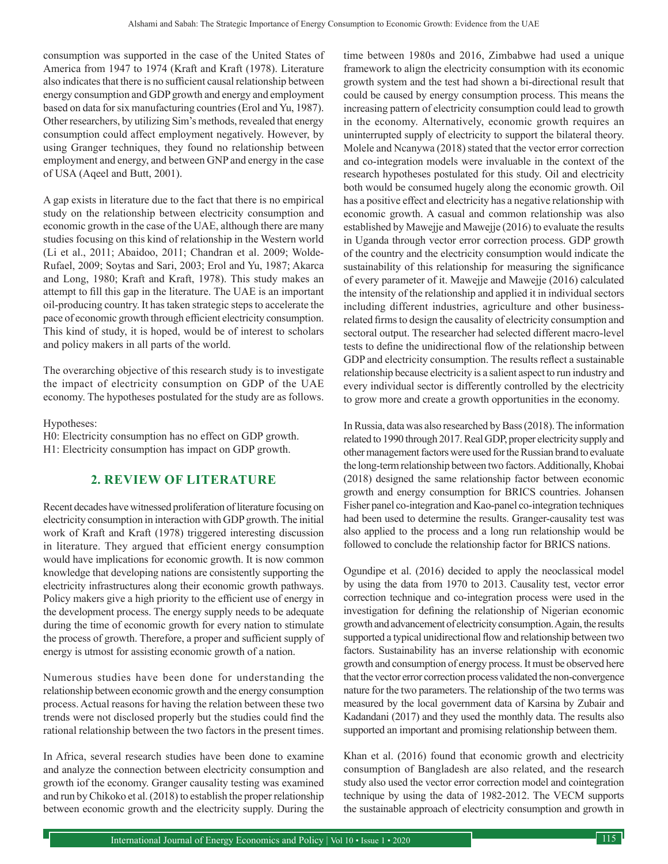consumption was supported in the case of the United States of America from 1947 to 1974 (Kraft and Kraft (1978). Literature also indicates that there is no sufficient causal relationship between energy consumption and GDP growth and energy and employment based on data for six manufacturing countries (Erol and Yu, 1987). Other researchers, by utilizing Sim's methods, revealed that energy consumption could affect employment negatively. However, by using Granger techniques, they found no relationship between employment and energy, and between GNP and energy in the case of USA (Aqeel and Butt, 2001).

A gap exists in literature due to the fact that there is no empirical study on the relationship between electricity consumption and economic growth in the case of the UAE, although there are many studies focusing on this kind of relationship in the Western world (Li et al., 2011; Abaidoo, 2011; Chandran et al. 2009; Wolde-Rufael, 2009; Soytas and Sari, 2003; Erol and Yu, 1987; Akarca and Long, 1980; Kraft and Kraft, 1978). This study makes an attempt to fill this gap in the literature. The UAE is an important oil-producing country. It has taken strategic steps to accelerate the pace of economic growth through efficient electricity consumption. This kind of study, it is hoped, would be of interest to scholars and policy makers in all parts of the world.

The overarching objective of this research study is to investigate the impact of electricity consumption on GDP of the UAE economy. The hypotheses postulated for the study are as follows.

Hypotheses:

H0: Electricity consumption has no effect on GDP growth. H1: Electricity consumption has impact on GDP growth.

## **2. REVIEW OF LITERATURE**

Recent decades have witnessed proliferation of literature focusing on electricity consumption in interaction with GDP growth. The initial work of Kraft and Kraft (1978) triggered interesting discussion in literature. They argued that efficient energy consumption would have implications for economic growth. It is now common knowledge that developing nations are consistently supporting the electricity infrastructures along their economic growth pathways. Policy makers give a high priority to the efficient use of energy in the development process. The energy supply needs to be adequate during the time of economic growth for every nation to stimulate the process of growth. Therefore, a proper and sufficient supply of energy is utmost for assisting economic growth of a nation.

Numerous studies have been done for understanding the relationship between economic growth and the energy consumption process. Actual reasons for having the relation between these two trends were not disclosed properly but the studies could find the rational relationship between the two factors in the present times.

In Africa, several research studies have been done to examine and analyze the connection between electricity consumption and growth iof the economy. Granger causality testing was examined and run by Chikoko et al. (2018) to establish the proper relationship between economic growth and the electricity supply. During the time between 1980s and 2016, Zimbabwe had used a unique framework to align the electricity consumption with its economic growth system and the test had shown a bi-directional result that could be caused by energy consumption process. This means the increasing pattern of electricity consumption could lead to growth in the economy. Alternatively, economic growth requires an uninterrupted supply of electricity to support the bilateral theory. Molele and Ncanywa (2018) stated that the vector error correction and co-integration models were invaluable in the context of the research hypotheses postulated for this study. Oil and electricity both would be consumed hugely along the economic growth. Oil has a positive effect and electricity has a negative relationship with economic growth. A casual and common relationship was also established by Mawejje and Mawejje (2016) to evaluate the results in Uganda through vector error correction process. GDP growth of the country and the electricity consumption would indicate the sustainability of this relationship for measuring the significance of every parameter of it. Mawejje and Mawejje (2016) calculated the intensity of the relationship and applied it in individual sectors including different industries, agriculture and other businessrelated firms to design the causality of electricity consumption and sectoral output. The researcher had selected different macro-level tests to define the unidirectional flow of the relationship between GDP and electricity consumption. The results reflect a sustainable relationship because electricity is a salient aspect to run industry and every individual sector is differently controlled by the electricity to grow more and create a growth opportunities in the economy.

In Russia, data was also researched by Bass (2018). The information related to 1990 through 2017. Real GDP, proper electricity supply and other management factors were used for the Russian brand to evaluate the long-term relationship between two factors. Additionally, Khobai (2018) designed the same relationship factor between economic growth and energy consumption for BRICS countries. Johansen Fisher panel co-integration and Kao-panel co-integration techniques had been used to determine the results. Granger-causality test was also applied to the process and a long run relationship would be followed to conclude the relationship factor for BRICS nations.

Ogundipe et al. (2016) decided to apply the neoclassical model by using the data from 1970 to 2013. Causality test, vector error correction technique and co-integration process were used in the investigation for defining the relationship of Nigerian economic growth and advancement of electricity consumption. Again, the results supported a typical unidirectional flow and relationship between two factors. Sustainability has an inverse relationship with economic growth and consumption of energy process. It must be observed here that the vector error correction process validated the non-convergence nature for the two parameters. The relationship of the two terms was measured by the local government data of Karsina by Zubair and Kadandani (2017) and they used the monthly data. The results also supported an important and promising relationship between them.

Khan et al. (2016) found that economic growth and electricity consumption of Bangladesh are also related, and the research study also used the vector error correction model and cointegration technique by using the data of 1982-2012. The VECM supports the sustainable approach of electricity consumption and growth in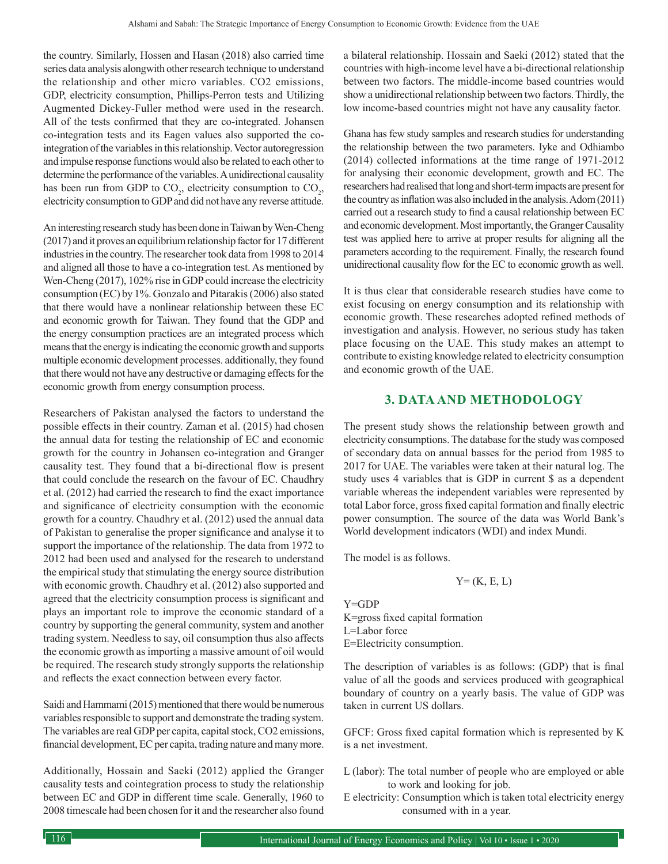the country. Similarly, Hossen and Hasan (2018) also carried time series data analysis alongwith other research technique to understand the relationship and other micro variables. CO2 emissions, GDP, electricity consumption, Phillips-Perron tests and Utilizing Augmented Dickey-Fuller method were used in the research. All of the tests confirmed that they are co-integrated. Johansen co-integration tests and its Eagen values also supported the cointegration of the variables in this relationship. Vector autoregression and impulse response functions would also be related to each other to determine the performance of the variables. A unidirectional causality has been run from GDP to  $CO_2$ , electricity consumption to  $CO_2$ , electricity consumption to GDP and did not have any reverse attitude.

An interesting research study has been done in Taiwan by Wen-Cheng (2017) and it proves an equilibrium relationship factor for 17 different industries in the country. The researcher took data from 1998 to 2014 and aligned all those to have a co-integration test. As mentioned by Wen-Cheng (2017), 102% rise in GDP could increase the electricity consumption (EC) by 1%. Gonzalo and Pitarakis (2006) also stated that there would have a nonlinear relationship between these EC and economic growth for Taiwan. They found that the GDP and the energy consumption practices are an integrated process which means that the energy is indicating the economic growth and supports multiple economic development processes. additionally, they found that there would not have any destructive or damaging effects for the economic growth from energy consumption process.

Researchers of Pakistan analysed the factors to understand the possible effects in their country. Zaman et al. (2015) had chosen the annual data for testing the relationship of EC and economic growth for the country in Johansen co-integration and Granger causality test. They found that a bi-directional flow is present that could conclude the research on the favour of EC. Chaudhry et al. (2012) had carried the research to find the exact importance and significance of electricity consumption with the economic growth for a country. Chaudhry et al. (2012) used the annual data of Pakistan to generalise the proper significance and analyse it to support the importance of the relationship. The data from 1972 to 2012 had been used and analysed for the research to understand the empirical study that stimulating the energy source distribution with economic growth. Chaudhry et al. (2012) also supported and agreed that the electricity consumption process is significant and plays an important role to improve the economic standard of a country by supporting the general community, system and another trading system. Needless to say, oil consumption thus also affects the economic growth as importing a massive amount of oil would be required. The research study strongly supports the relationship and reflects the exact connection between every factor.

Saidi and Hammami (2015) mentioned that there would be numerous variables responsible to support and demonstrate the trading system. The variables are real GDP per capita, capital stock, CO2 emissions, financial development, EC per capita, trading nature and many more.

Additionally, Hossain and Saeki (2012) applied the Granger causality tests and cointegration process to study the relationship between EC and GDP in different time scale. Generally, 1960 to 2008 timescale had been chosen for it and the researcher also found a bilateral relationship. Hossain and Saeki (2012) stated that the countries with high-income level have a bi-directional relationship between two factors. The middle-income based countries would show a unidirectional relationship between two factors. Thirdly, the low income-based countries might not have any causality factor.

Ghana has few study samples and research studies for understanding the relationship between the two parameters. Iyke and Odhiambo (2014) collected informations at the time range of 1971-2012 for analysing their economic development, growth and EC. The researchers had realised that long and short-term impacts are present for the country as inflation was also included in the analysis. Adom (2011) carried out a research study to find a causal relationship between EC and economic development. Most importantly, the Granger Causality test was applied here to arrive at proper results for aligning all the parameters according to the requirement. Finally, the research found unidirectional causality flow for the EC to economic growth as well.

It is thus clear that considerable research studies have come to exist focusing on energy consumption and its relationship with economic growth. These researches adopted refined methods of investigation and analysis. However, no serious study has taken place focusing on the UAE. This study makes an attempt to contribute to existing knowledge related to electricity consumption and economic growth of the UAE.

### **3. DATA AND METHODOLOGY**

The present study shows the relationship between growth and electricity consumptions. The database for the study was composed of secondary data on annual basses for the period from 1985 to 2017 for UAE. The variables were taken at their natural log. The study uses 4 variables that is GDP in current \$ as a dependent variable whereas the independent variables were represented by total Labor force, gross fixed capital formation and finally electric power consumption. The source of the data was World Bank's World development indicators (WDI) and index Mundi.

The model is as follows.

 $Y=(K, E, L)$ 

Y=GDP K=gross fixed capital formation L=Labor force E=Electricity consumption.

The description of variables is as follows: (GDP) that is final value of all the goods and services produced with geographical boundary of country on a yearly basis. The value of GDP was taken in current US dollars.

GFCF: Gross fixed capital formation which is represented by K is a net investment.

- L (labor): The total number of people who are employed or able to work and looking for job.
- E electricity: Consumption which is taken total electricity energy consumed with in a year.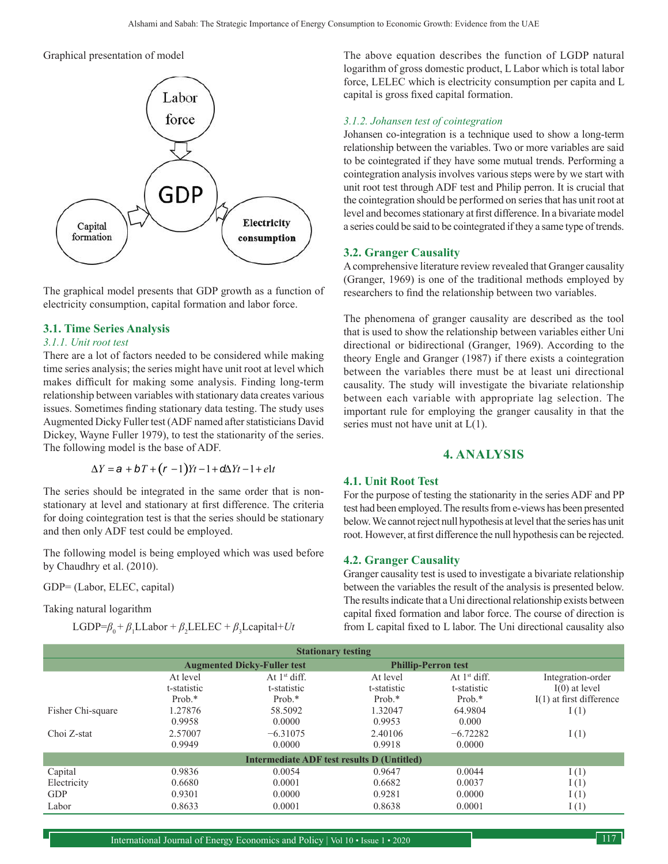#### Graphical presentation of model



The graphical model presents that GDP growth as a function of electricity consumption, capital formation and labor force.

#### **3.1. Time Series Analysis**

#### *3.1.1. Unit root test*

There are a lot of factors needed to be considered while making time series analysis; the series might have unit root at level which makes difficult for making some analysis. Finding long-term relationship between variables with stationary data creates various issues. Sometimes finding stationary data testing. The study uses Augmented Dicky Fuller test (ADF named after statisticians David Dickey, Wayne Fuller 1979), to test the stationarity of the series. The following model is the base of ADF.

$$
\Delta Y = a + bT + (r - 1)Yt - 1 + d\Delta Yt - 1 + e^t
$$

The series should be integrated in the same order that is nonstationary at level and stationary at first difference. The criteria for doing cointegration test is that the series should be stationary and then only ADF test could be employed.

The following model is being employed which was used before by Chaudhry et al. (2010).

GDP= (Labor, ELEC, capital)

Taking natural logarithm

 $LGDP = \beta_0 + \beta_1 L \\ Labor + \beta_2 LE LEC + \beta_3 L \\ capital + Ut$ 

The above equation describes the function of LGDP natural logarithm of gross domestic product, L Labor which is total labor force, LELEC which is electricity consumption per capita and L capital is gross fixed capital formation.

#### *3.1.2. Johansen test of cointegration*

Johansen co-integration is a technique used to show a long-term relationship between the variables. Two or more variables are said to be cointegrated if they have some mutual trends. Performing a cointegration analysis involves various steps were by we start with unit root test through ADF test and Philip perron. It is crucial that the cointegration should be performed on series that has unit root at level and becomes stationary at first difference. In a bivariate model a series could be said to be cointegrated if they a same type of trends.

#### **3.2. Granger Causality**

A comprehensive literature review revealed that Granger causality (Granger, 1969) is one of the traditional methods employed by researchers to find the relationship between two variables.

The phenomena of granger causality are described as the tool that is used to show the relationship between variables either Uni directional or bidirectional (Granger, 1969). According to the theory Engle and Granger (1987) if there exists a cointegration between the variables there must be at least uni directional causality. The study will investigate the bivariate relationship between each variable with appropriate lag selection. The important rule for employing the granger causality in that the series must not have unit at  $L(1)$ .

#### **4. ANALYSIS**

#### **4.1. Unit Root Test**

For the purpose of testing the stationarity in the series ADF and PP test had been employed. The results from e-views has been presented below. We cannot reject null hypothesis at level that the series has unit root. However, at first difference the null hypothesis can be rejected.

#### **4.2. Granger Causality**

Granger causality test is used to investigate a bivariate relationship between the variables the result of the analysis is presented below. The results indicate that a Uni directional relationship exists between capital fixed formation and labor force. The course of direction is from L capital fixed to L labor. The Uni directional causality also

| <b>Stationary testing</b>                  |                                    |                |                            |                |                            |  |
|--------------------------------------------|------------------------------------|----------------|----------------------------|----------------|----------------------------|--|
|                                            | <b>Augmented Dicky-Fuller test</b> |                | <b>Phillip-Perron test</b> |                |                            |  |
|                                            | At level                           | At $1st$ diff. | At level                   | At $1st$ diff. | Integration-order          |  |
|                                            | t-statistic                        | t-statistic    | t-statistic                | t-statistic    | $I(0)$ at level            |  |
|                                            | Prob. $*$                          | Prob. $*$      | Prob. $*$                  | Prob. $*$      | $I(1)$ at first difference |  |
| Fisher Chi-square                          | 1.27876                            | 58.5092        | 1.32047                    | 64.9804        | I(1)                       |  |
|                                            | 0.9958                             | 0.0000         | 0.9953                     | 0.000          |                            |  |
| Choi Z-stat                                | 2.57007                            | $-6.31075$     | 2.40106                    | $-6.72282$     | I(1)                       |  |
|                                            | 0.9949                             | 0.0000         | 0.9918                     | 0.0000         |                            |  |
| Intermediate ADF test results D (Untitled) |                                    |                |                            |                |                            |  |
| Capital                                    | 0.9836                             | 0.0054         | 0.9647                     | 0.0044         | I(1)                       |  |
| Electricity                                | 0.6680                             | 0.0001         | 0.6682                     | 0.0037         | I(1)                       |  |
| <b>GDP</b>                                 | 0.9301                             | 0.0000         | 0.9281                     | 0.0000         | I(1)                       |  |
| Labor                                      | 0.8633                             | 0.0001         | 0.8638                     | 0.0001         | I(1)                       |  |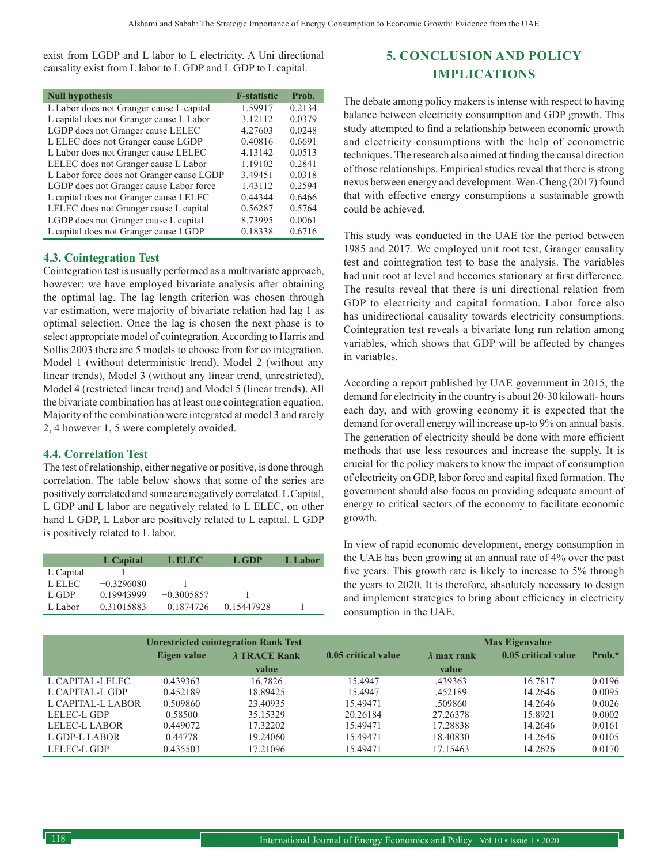exist from LGDP and L labor to L electricity. A Uni directional causality exist from L labor to L GDP and L GDP to L capital.

| <b>Null hypothesis</b>                    | <b>F-statistic</b> | Prob.  |
|-------------------------------------------|--------------------|--------|
| L Labor does not Granger cause L capital  | 1.59917            | 0.2134 |
| L capital does not Granger cause L Labor  | 3.12112            | 0.0379 |
| LGDP does not Granger cause LELEC         | 4.27603            | 0.0248 |
| L ELEC does not Granger cause LGDP        | 0.40816            | 0.6691 |
| L Labor does not Granger cause LELEC      | 4.13142            | 0.0513 |
| LELEC does not Granger cause L Labor      | 1.19102            | 0.2841 |
| L Labor force does not Granger cause LGDP | 3.49451            | 0.0318 |
| LGDP does not Granger cause Labor force   | 1.43112            | 0.2594 |
| L capital does not Granger cause LELEC    | 0.44344            | 0.6466 |
| LELEC does not Granger cause L capital    | 0.56287            | 0.5764 |
| LGDP does not Granger cause L capital     | 8.73995            | 0.0061 |
| L capital does not Granger cause LGDP     | 0.18338            | 0.6716 |

#### **4.3. Cointegration Test**

Cointegration test is usually performed as a multivariate approach, however; we have employed bivariate analysis after obtaining the optimal lag. The lag length criterion was chosen through var estimation, were majority of bivariate relation had lag 1 as optimal selection. Once the lag is chosen the next phase is to select appropriate model of cointegration. According to Harris and Sollis 2003 there are 5 models to choose from for co integration. Model 1 (without deterministic trend), Model 2 (without any linear trends), Model 3 (without any linear trend, unrestricted), Model 4 (restricted linear trend) and Model 5 (linear trends). All the bivariate combination has at least one cointegration equation. Majority of the combination were integrated at model 3 and rarely 2, 4 however 1, 5 were completely avoided.

#### **4.4. Correlation Test**

The test of relationship, either negative or positive, is done through correlation. The table below shows that some of the series are positively correlated and some are negatively correlated. L Capital, L GDP and L labor are negatively related to L ELEC, on other hand L GDP, L Labor are positively related to L capital. L GDP is positively related to L labor.

|           | L Capital    | L ELEC-      | L GDP      | L Labor |
|-----------|--------------|--------------|------------|---------|
| L Capital |              |              |            |         |
| L ELEC    | $-0.3296080$ |              |            |         |
| L GDP     | 0.19943999   | $-0.3005857$ |            |         |
| L Labor   | 0.31015883   | $-0.1874726$ | 0.15447928 |         |

# **5. CONCLUSION AND POLICY IMPLICATIONS**

The debate among policy makers is intense with respect to having balance between electricity consumption and GDP growth. This study attempted to find a relationship between economic growth and electricity consumptions with the help of econometric techniques. The research also aimed at finding the causal direction of those relationships. Empirical studies reveal that there is strong nexus between energy and development. Wen-Cheng (2017) found that with effective energy consumptions a sustainable growth could be achieved.

This study was conducted in the UAE for the period between 1985 and 2017. We employed unit root test, Granger causality test and cointegration test to base the analysis. The variables had unit root at level and becomes stationary at first difference. The results reveal that there is uni directional relation from GDP to electricity and capital formation. Labor force also has unidirectional causality towards electricity consumptions. Cointegration test reveals a bivariate long run relation among variables, which shows that GDP will be affected by changes in variables.

According a report published by UAE government in 2015, the demand for electricity in the country is about 20-30 kilowatt- hours each day, and with growing economy it is expected that the demand for overall energy will increase up-to 9% on annual basis. The generation of electricity should be done with more efficient methods that use less resources and increase the supply. It is crucial for the policy makers to know the impact of consumption of electricity on GDP, labor force and capital fixed formation. The government should also focus on providing adequate amount of energy to critical sectors of the economy to facilitate economic growth.

In view of rapid economic development, energy consumption in the UAE has been growing at an annual rate of 4% over the past five years. This growth rate is likely to increase to 5% through the years to 2020. It is therefore, absolutely necessary to design and implement strategies to bring about efficiency in electricity consumption in the UAE.

|                   | <b>Unrestricted cointegration Rank Test</b> |                      |                     | <b>Max Eigenvalue</b> |                     |        |
|-------------------|---------------------------------------------|----------------------|---------------------|-----------------------|---------------------|--------|
|                   | Eigen value                                 | $\lambda$ TRACE Rank | 0.05 critical value | $\lambda$ max rank    | 0.05 critical value | Prob.* |
|                   |                                             | value                |                     | value                 |                     |        |
| L CAPITAL-LELEC   | 0.439363                                    | 16.7826              | 15.4947             | .439363               | 16.7817             | 0.0196 |
| L CAPITAL-L GDP   | 0.452189                                    | 18.89425             | 15.4947             | .452189               | 14.2646             | 0.0095 |
| L CAPITAL-L LABOR | 0.509860                                    | 23.40935             | 15.49471            | .509860               | 14.2646             | 0.0026 |
| LELEC-L GDP       | 0.58500                                     | 35.15329             | 20.26184            | 27.26378              | 15.8921             | 0.0002 |
| LELEC-L LABOR     | 0.449072                                    | 17.32202             | 15.49471            | 17.28838              | 14.2646             | 0.0161 |
| L GDP-L LABOR     | 0.44778                                     | 19.24060             | 15.49471            | 18.40830              | 14.2646             | 0.0105 |
| LELEC-L GDP       | 0.435503                                    | 17.21096             | 15.49471            | 17.15463              | 14.2626             | 0.0170 |